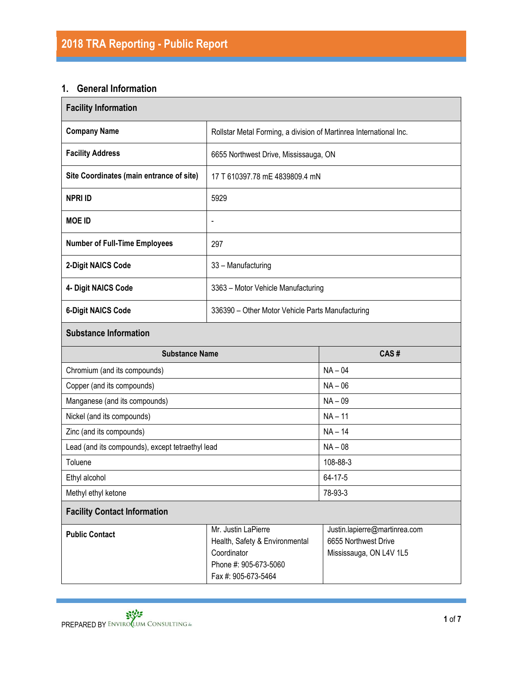### **1. General Information**

| <b>Facility Information</b>                      |                                                                                  |                                                                    |  |  |  |  |  |
|--------------------------------------------------|----------------------------------------------------------------------------------|--------------------------------------------------------------------|--|--|--|--|--|
| <b>Company Name</b>                              |                                                                                  | Rollstar Metal Forming, a division of Martinrea International Inc. |  |  |  |  |  |
| <b>Facility Address</b>                          | 6655 Northwest Drive, Mississauga, ON                                            |                                                                    |  |  |  |  |  |
| Site Coordinates (main entrance of site)         | 17 T 610397.78 mE 4839809.4 mN                                                   |                                                                    |  |  |  |  |  |
| <b>NPRI ID</b>                                   | 5929                                                                             |                                                                    |  |  |  |  |  |
| <b>MOE ID</b>                                    | $\blacksquare$                                                                   |                                                                    |  |  |  |  |  |
| <b>Number of Full-Time Employees</b>             | 297                                                                              |                                                                    |  |  |  |  |  |
| 2-Digit NAICS Code                               | 33 - Manufacturing                                                               |                                                                    |  |  |  |  |  |
| 4- Digit NAICS Code                              | 3363 - Motor Vehicle Manufacturing                                               |                                                                    |  |  |  |  |  |
| <b>6-Digit NAICS Code</b>                        | 336390 - Other Motor Vehicle Parts Manufacturing                                 |                                                                    |  |  |  |  |  |
| <b>Substance Information</b>                     |                                                                                  |                                                                    |  |  |  |  |  |
| <b>Substance Name</b>                            |                                                                                  | CAS#                                                               |  |  |  |  |  |
| Chromium (and its compounds)                     |                                                                                  | $NA - 04$                                                          |  |  |  |  |  |
| Copper (and its compounds)                       |                                                                                  | $NA - 06$                                                          |  |  |  |  |  |
| Manganese (and its compounds)                    |                                                                                  | $NA - 09$                                                          |  |  |  |  |  |
| Nickel (and its compounds)                       |                                                                                  | $NA - 11$                                                          |  |  |  |  |  |
| Zinc (and its compounds)                         |                                                                                  | $NA - 14$                                                          |  |  |  |  |  |
| Lead (and its compounds), except tetraethyl lead |                                                                                  | $NA - 08$                                                          |  |  |  |  |  |
| Toluene                                          |                                                                                  | 108-88-3                                                           |  |  |  |  |  |
| Ethyl alcohol                                    |                                                                                  | 64-17-5                                                            |  |  |  |  |  |
| Methyl ethyl ketone                              |                                                                                  | 78-93-3                                                            |  |  |  |  |  |
| <b>Facility Contact Information</b>              |                                                                                  |                                                                    |  |  |  |  |  |
| <b>Public Contact</b>                            | Justin.lapierre@martinrea.com<br>6655 Northwest Drive<br>Mississauga, ON L4V 1L5 |                                                                    |  |  |  |  |  |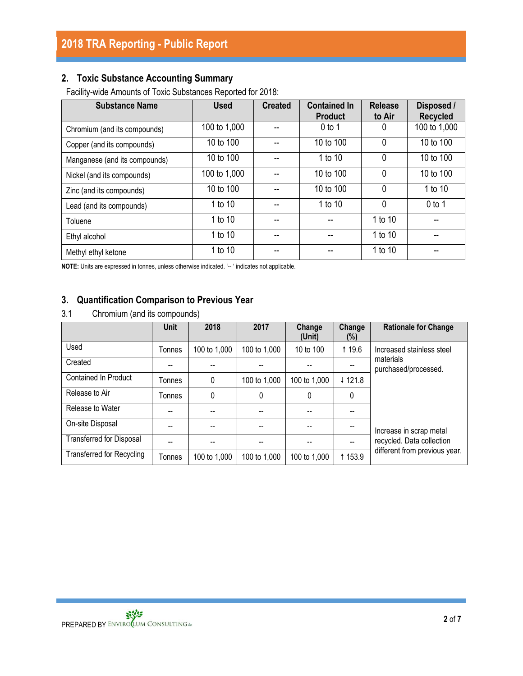## **2. Toxic Substance Accounting Summary**

Facility-wide Amounts of Toxic Substances Reported for 2018:

| <b>Substance Name</b>         | <b>Used</b>  | <b>Created</b> | <b>Contained In</b><br><b>Product</b> | <b>Release</b><br>to Air | Disposed /<br><b>Recycled</b> |
|-------------------------------|--------------|----------------|---------------------------------------|--------------------------|-------------------------------|
| Chromium (and its compounds)  | 100 to 1,000 |                | $0$ to 1                              | 0                        | 100 to 1,000                  |
| Copper (and its compounds)    | 10 to 100    |                | 10 to 100                             | $\mathbf{0}$             | 10 to 100                     |
| Manganese (and its compounds) | 10 to 100    |                | 1 to 10                               | $\mathbf{0}$             | 10 to 100                     |
| Nickel (and its compounds)    | 100 to 1,000 |                | 10 to 100                             | $\mathbf{0}$             | 10 to 100                     |
| Zinc (and its compounds)      | 10 to 100    |                | 10 to 100                             | $\mathbf{0}$             | 1 to 10                       |
| Lead (and its compounds)      | 1 to 10      |                | 1 to 10                               | $\mathbf{0}$             | $0$ to 1                      |
| Toluene                       | 1 to 10      |                |                                       | 1 to 10                  |                               |
| Ethyl alcohol                 | 1 to 10      |                |                                       | 1 to 10                  | --                            |
| Methyl ethyl ketone           | 1 to 10      |                |                                       | 1 to 10                  |                               |

**NOTE:** Units are expressed in tonnes, unless otherwise indicated. '-- ' indicates not applicable.

#### **3. Quantification Comparison to Previous Year**

3.1 Chromium (and its compounds)

|                                  | Unit   | 2018         | 2017         | Change<br>(Unit) | Change<br>(%) | <b>Rationale for Change</b>       |
|----------------------------------|--------|--------------|--------------|------------------|---------------|-----------------------------------|
| Used                             | Tonnes | 100 to 1,000 | 100 to 1,000 | 10 to 100        | <b>19.6</b>   | Increased stainless steel         |
| Created                          |        |              |              |                  |               | materials<br>purchased/processed. |
| Contained In Product             | Tonnes | 0            | 100 to 1,000 | 100 to 1,000     | ↓ 121.8       |                                   |
| Release to Air                   | Tonnes | 0            | 0            | 0                | 0             |                                   |
| Release to Water                 |        |              |              |                  |               |                                   |
| On-site Disposal                 |        |              |              |                  |               | Increase in scrap metal           |
| <b>Transferred for Disposal</b>  |        |              |              |                  |               | recycled. Data collection         |
| <b>Transferred for Recycling</b> | Tonnes | 100 to 1,000 | 100 to 1,000 | 100 to 1,000     | <b>153.9</b>  | different from previous year.     |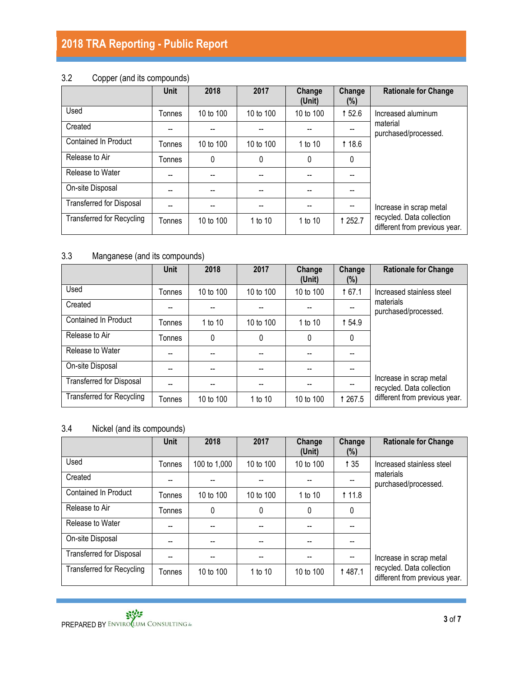# **2018 TRA Reporting - Public Report**

## 3.2 Copper (and its compounds)

|                                  | <b>Unit</b> | 2018      | 2017      | Change<br>(Unit) | Change<br>$(\%)$ | <b>Rationale for Change</b>                                |
|----------------------------------|-------------|-----------|-----------|------------------|------------------|------------------------------------------------------------|
| Used                             | Tonnes      | 10 to 100 | 10 to 100 | 10 to 100        | 152.6            | Increased aluminum                                         |
| Created                          | --          |           |           |                  |                  | material<br>purchased/processed.                           |
| <b>Contained In Product</b>      | Tonnes      | 10 to 100 | 10 to 100 | 1 to 10          | <b>118.6</b>     |                                                            |
| Release to Air                   | Tonnes      | 0         | 0         | 0                | $\mathbf{0}$     |                                                            |
| Release to Water                 | --          |           |           |                  |                  |                                                            |
| On-site Disposal                 | --          |           |           |                  |                  |                                                            |
| <b>Transferred for Disposal</b>  | --          | --        | --        |                  |                  | Increase in scrap metal                                    |
| <b>Transferred for Recycling</b> | Tonnes      | 10 to 100 | 1 to 10   | 1 to 10          | <b>1252.7</b>    | recycled. Data collection<br>different from previous year. |

## 3.3 Manganese (and its compounds)

|                                  | <b>Unit</b> | 2018      | 2017                                  | Change<br>(Unit) | Change<br>(%) | <b>Rationale for Change</b>                          |
|----------------------------------|-------------|-----------|---------------------------------------|------------------|---------------|------------------------------------------------------|
| Used                             | Tonnes      | 10 to 100 | 10 to 100                             | 10 to 100        | 167.1         | Increased stainless steel                            |
| Created                          |             |           | $- -$                                 |                  |               | materials<br>purchased/processed.                    |
| Contained In Product             | Tonnes      | 1 to 10   | 10 to 100                             | 1 to 10          | 154.9         |                                                      |
| Release to Air                   | Tonnes      | 0         | $\mathbf{0}$                          | 0                | 0             |                                                      |
| Release to Water                 |             |           |                                       |                  |               |                                                      |
| On-site Disposal                 |             |           |                                       |                  | --            |                                                      |
| <b>Transferred for Disposal</b>  |             |           | $\hspace{0.05cm}$ – $\hspace{0.05cm}$ |                  |               | Increase in scrap metal<br>recycled. Data collection |
| <b>Transferred for Recycling</b> | Tonnes      | 10 to 100 | 1 to 10                               | 10 to 100        | 1 267.5       | different from previous year.                        |

### 3.4 Nickel (and its compounds)

|                                  | <b>Unit</b> | 2018         | 2017      | Change<br>(Unit) | Change<br>(%) | <b>Rationale for Change</b>                                |
|----------------------------------|-------------|--------------|-----------|------------------|---------------|------------------------------------------------------------|
| Used                             | Tonnes      | 100 to 1,000 | 10 to 100 | 10 to 100        | 1 35          | Increased stainless steel                                  |
| Created                          |             |              |           |                  |               | materials<br>purchased/processed.                          |
| <b>Contained In Product</b>      | Tonnes      | 10 to 100    | 10 to 100 | 1 to 10          | <b>111.8</b>  |                                                            |
| Release to Air                   | Tonnes      | 0            | 0         | 0                | $\mathbf{0}$  |                                                            |
| Release to Water                 | --          |              |           |                  |               |                                                            |
| On-site Disposal                 |             |              |           |                  |               |                                                            |
| <b>Transferred for Disposal</b>  | --          | --           |           |                  |               | Increase in scrap metal                                    |
| <b>Transferred for Recycling</b> | Tonnes      | 10 to 100    | 1 to 10   | 10 to 100        | <b>1487.1</b> | recycled. Data collection<br>different from previous year. |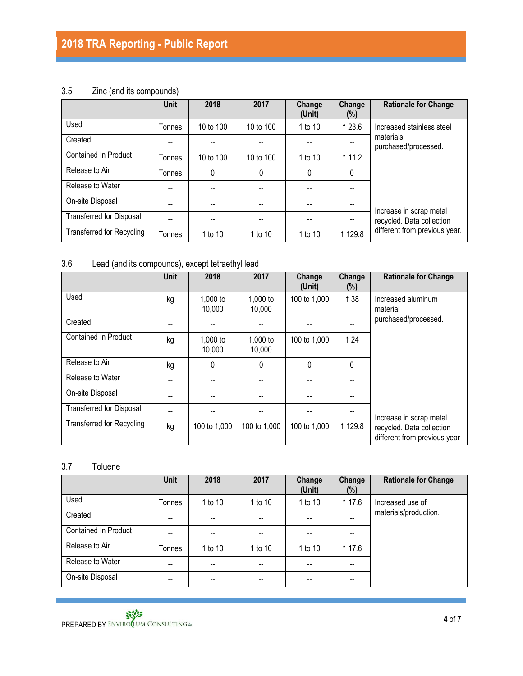## 3.5 Zinc (and its compounds)

|                                  | <b>Unit</b>   | 2018      | 2017      | Change<br>(Unit) | Change<br>$(\%)$ | <b>Rationale for Change</b>                                                           |
|----------------------------------|---------------|-----------|-----------|------------------|------------------|---------------------------------------------------------------------------------------|
| Used                             | Tonnes        | 10 to 100 | 10 to 100 | 1 to 10          | 1 23.6           | Increased stainless steel                                                             |
| Created                          | --            |           |           |                  |                  | materials<br>purchased/processed.                                                     |
| <b>Contained In Product</b>      | Tonnes        | 10 to 100 | 10 to 100 | 1 to $10$        | <b>111.2</b>     |                                                                                       |
| Release to Air                   | <b>Tonnes</b> | 0         | 0         | 0                | $\mathbf{0}$     |                                                                                       |
| Release to Water                 | --            | --        | --        | --               |                  |                                                                                       |
| On-site Disposal                 | --            | --        | --        | --               |                  | Increase in scrap metal<br>recycled. Data collection<br>different from previous year. |
| <b>Transferred for Disposal</b>  | $-$           | --        | --        | --               |                  |                                                                                       |
| <b>Transferred for Recycling</b> | Tonnes        | 1 to 10   | 1 to 10   | 1 to 10          | <b>1129.8</b>    |                                                                                       |

## 3.6 Lead (and its compounds), except tetraethyl lead

|                                  | <b>Unit</b> | 2018               | 2017               | Change<br>(Unit) | Change<br>(%) | <b>Rationale for Change</b>                               |
|----------------------------------|-------------|--------------------|--------------------|------------------|---------------|-----------------------------------------------------------|
| Used                             | kg          | 1,000 to<br>10,000 | 1,000 to<br>10,000 | 100 to 1,000     | 138           | Increased aluminum<br>material                            |
| Created                          |             |                    |                    |                  |               | purchased/processed.                                      |
| <b>Contained In Product</b>      | kg          | 1,000 to<br>10,000 | 1,000 to<br>10,000 | 100 to 1,000     | <b>t24</b>    |                                                           |
| Release to Air                   | kg          | 0                  | $\Omega$           | $\Omega$         | $\Omega$      |                                                           |
| Release to Water                 |             |                    |                    |                  |               |                                                           |
| On-site Disposal                 |             |                    |                    |                  |               |                                                           |
| <b>Transferred for Disposal</b>  |             |                    |                    |                  |               | Increase in scrap metal                                   |
| <b>Transferred for Recycling</b> | kg          | 100 to 1,000       | 100 to 1,000       | 100 to 1,000     | 1 1 2 9.8     | recycled. Data collection<br>different from previous year |

# 3.7 Toluene

|                      | Unit   | 2018    | 2017    | Change<br>(Unit) | Change<br>$(\%)$ | <b>Rationale for Change</b> |
|----------------------|--------|---------|---------|------------------|------------------|-----------------------------|
| Used                 | Tonnes | 1 to 10 | 1 to 10 | 1 to 10          | <b>17.6</b>      | Increased use of            |
| Created              | --     | --      |         |                  | --               | materials/production.       |
| Contained In Product | --     |         |         |                  |                  |                             |
| Release to Air       | Tonnes | 1 to 10 | 1 to 10 | 1 to 10          | <b>17.6</b>      |                             |
| Release to Water     | --     | --      |         |                  | --               |                             |
| On-site Disposal     | --     | --      |         | --               |                  |                             |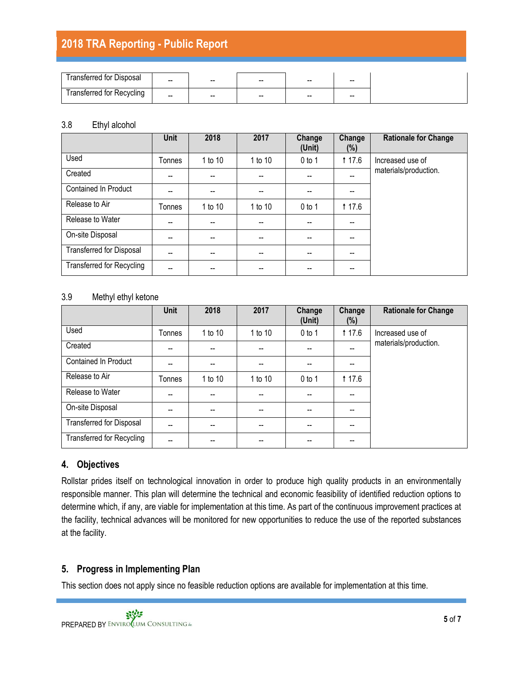# **2018 TRA Reporting - Public Report**

| ransterred tor Disposal   |       |                          |                          |       |                          |
|---------------------------|-------|--------------------------|--------------------------|-------|--------------------------|
|                           | $- -$ | $- -$                    | $- -$                    | $- -$ | $- -$                    |
| Transferred for Recycling | $- -$ | $\overline{\phantom{a}}$ | $\overline{\phantom{a}}$ | $- -$ | $\overline{\phantom{a}}$ |

#### 3.8 Ethyl alcohol

|                                  | <b>Unit</b> | 2018    | 2017    | Change<br>(Unit) | Change<br>$(\%)$ | <b>Rationale for Change</b> |
|----------------------------------|-------------|---------|---------|------------------|------------------|-----------------------------|
| Used                             | Tonnes      | 1 to 10 | 1 to 10 | $0$ to 1         | <b>117.6</b>     | Increased use of            |
| Created                          | --          |         |         |                  | --               | materials/production.       |
| <b>Contained In Product</b>      |             |         | --      |                  |                  |                             |
| Release to Air                   | Tonnes      | 1 to 10 | 1 to 10 | $0$ to 1         | <b>117.6</b>     |                             |
| Release to Water                 | --          |         |         |                  |                  |                             |
| On-site Disposal                 | --          | --      | --      |                  | --               |                             |
| <b>Transferred for Disposal</b>  | --          | --      | --      | --               | --               |                             |
| <b>Transferred for Recycling</b> | --          | --      | --      | --               | --               |                             |

#### 3.9 Methyl ethyl ketone

|                                  | Unit   | 2018    | 2017           | Change<br>(Unit) | Change<br>(%) | <b>Rationale for Change</b> |
|----------------------------------|--------|---------|----------------|------------------|---------------|-----------------------------|
| Used                             | Tonnes | 1 to 10 | 1 to 10        | $0$ to 1         | <b>t</b> 17.6 | Increased use of            |
| Created                          | --     | --      | $\overline{a}$ |                  | $-$           | materials/production.       |
| <b>Contained In Product</b>      | --     | --      | $-$            |                  | --            |                             |
| Release to Air                   | Tonnes | 1 to 10 | 1 to 10        | $0$ to 1         | <b>117.6</b>  |                             |
| Release to Water                 | --     | --      | $-$            |                  |               |                             |
| On-site Disposal                 | --     | --      | --             | --               |               |                             |
| <b>Transferred for Disposal</b>  | --     | --      | $-$            | $-$              | --            |                             |
| <b>Transferred for Recycling</b> | --     | --      |                |                  |               |                             |

#### **4. Objectives**

Rollstar prides itself on technological innovation in order to produce high quality products in an environmentally responsible manner. This plan will determine the technical and economic feasibility of identified reduction options to determine which, if any, are viable for implementation at this time. As part of the continuous improvement practices at the facility, technical advances will be monitored for new opportunities to reduce the use of the reported substances at the facility.

#### **5. Progress in Implementing Plan**

This section does not apply since no feasible reduction options are available for implementation at this time.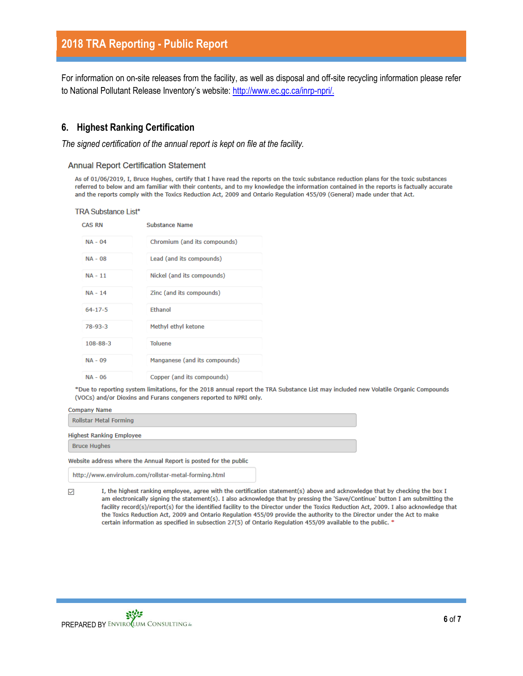For information on on-site releases from the facility, as well as disposal and off-site recycling information please refer to National Pollutant Release Inventory's website: [http://www.ec.gc.ca/inrp-npri/.](http://www.ec.gc.ca/inrp-npri/)

#### **6. Highest Ranking Certification**

*The signed certification of the annual report is kept on file at the facility.*

**Annual Report Certification Statement** 

As of 01/06/2019, I, Bruce Hughes, certify that I have read the reports on the toxic substance reduction plans for the toxic substances referred to below and am familiar with their contents, and to my knowledge the information contained in the reports is factually accurate and the reports comply with the Toxics Reduction Act, 2009 and Ontario Regulation 455/09 (General) made under that Act.

**TRA Substance List\*** 

| <b>CAS RN</b>  | Substance Name                |
|----------------|-------------------------------|
| $NA - 04$      | Chromium (and its compounds)  |
| $NA - 08$      | Lead (and its compounds)      |
| $NA - 11$      | Nickel (and its compounds)    |
| <b>NA - 14</b> | Zinc (and its compounds)      |
| $64 - 17 - 5$  | <b>Ethanol</b>                |
| $78-93-3$      | Methyl ethyl ketone           |
| $108 - 88 - 3$ | <b>Toluene</b>                |
| $NA - 09$      | Manganese (and its compounds) |
| $NA - 06$      | Copper (and its compounds)    |

\*Due to reporting system limitations, for the 2018 annual report the TRA Substance List may included new Volatile Organic Compounds (VOCs) and/or Dioxins and Furans congeners reported to NPRI only.

| <b>Company Name</b>                                              |  |  |
|------------------------------------------------------------------|--|--|
| <b>Rollstar Metal Forming</b>                                    |  |  |
| <b>Highest Ranking Employee</b>                                  |  |  |
| <b>Bruce Hughes</b>                                              |  |  |
| Website address where the Annual Report is posted for the public |  |  |
|                                                                  |  |  |

http://www.envirolum.com/rollstar-metal-forming.html

I, the highest ranking employee, agree with the certification statement(s) above and acknowledge that by checking the box I V. am electronically signing the statement(s). I also acknowledge that by pressing the 'Save/Continue' button I am submitting the facility record(s)/report(s) for the identified facility to the Director under the Toxics Reduction Act, 2009. I also acknowledge that the Toxics Reduction Act, 2009 and Ontario Regulation 455/09 provide the authority to the Director under the Act to make certain information as specified in subsection 27(5) of Ontario Regulation 455/09 available to the public. <sup>\*</sup>